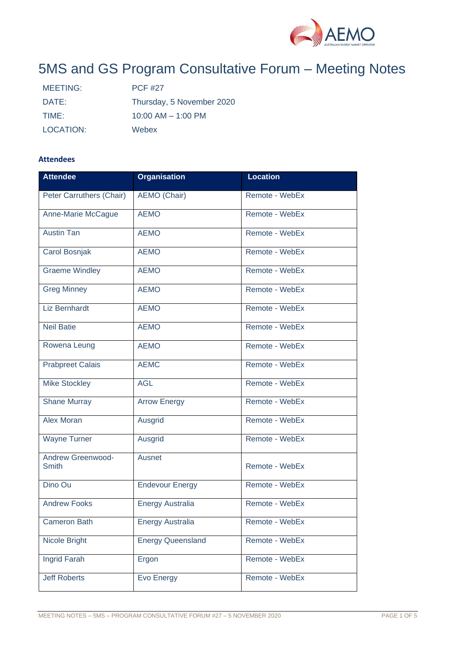

# 5MS and GS Program Consultative Forum – Meeting Notes

| MEETING:  | <b>PCF #27</b>            |
|-----------|---------------------------|
| DATE:     | Thursday, 5 November 2020 |
| TIME:     | $10:00$ AM $- 1:00$ PM    |
| LOCATION: | Webex                     |

## **Attendees**

| <b>Attendee</b>                          | <b>Organisation</b>      | <b>Location</b> |  |  |
|------------------------------------------|--------------------------|-----------------|--|--|
| Peter Carruthers (Chair)                 | AEMO (Chair)             | Remote - WebEx  |  |  |
| Anne-Marie McCague                       | <b>AEMO</b>              | Remote - WebEx  |  |  |
| <b>Austin Tan</b>                        | <b>AEMO</b>              | Remote - WebEx  |  |  |
| <b>Carol Bosnjak</b>                     | <b>AEMO</b>              | Remote - WebEx  |  |  |
| <b>Graeme Windley</b>                    | <b>AEMO</b>              | Remote - WebEx  |  |  |
| <b>Greg Minney</b>                       | <b>AEMO</b>              | Remote - WebEx  |  |  |
| <b>Liz Bernhardt</b>                     | <b>AEMO</b>              | Remote - WebEx  |  |  |
| <b>Neil Batie</b>                        | <b>AEMO</b>              | Remote - WebEx  |  |  |
| Rowena Leung                             | <b>AEMO</b>              | Remote - WebEx  |  |  |
| <b>Prabpreet Calais</b>                  | <b>AEMC</b>              | Remote - WebEx  |  |  |
| <b>Mike Stockley</b>                     | <b>AGL</b>               | Remote - WebEx  |  |  |
| <b>Shane Murray</b>                      | <b>Arrow Energy</b>      | Remote - WebEx  |  |  |
| <b>Alex Moran</b>                        | Ausgrid                  | Remote - WebEx  |  |  |
| <b>Wayne Turner</b>                      | Ausgrid                  | Remote - WebEx  |  |  |
| <b>Andrew Greenwood-</b><br><b>Smith</b> | Ausnet                   | Remote - WebEx  |  |  |
| Dino Ou                                  | <b>Endevour Energy</b>   | Remote - WebEx  |  |  |
| <b>Andrew Fooks</b>                      | <b>Energy Australia</b>  | Remote - WebEx  |  |  |
| <b>Cameron Bath</b>                      | <b>Energy Australia</b>  | Remote - WebEx  |  |  |
| Nicole Bright                            | <b>Energy Queensland</b> | Remote - WebEx  |  |  |
| Ingrid Farah                             | Ergon                    | Remote - WebEx  |  |  |
| <b>Jeff Roberts</b>                      | Evo Energy               | Remote - WebEx  |  |  |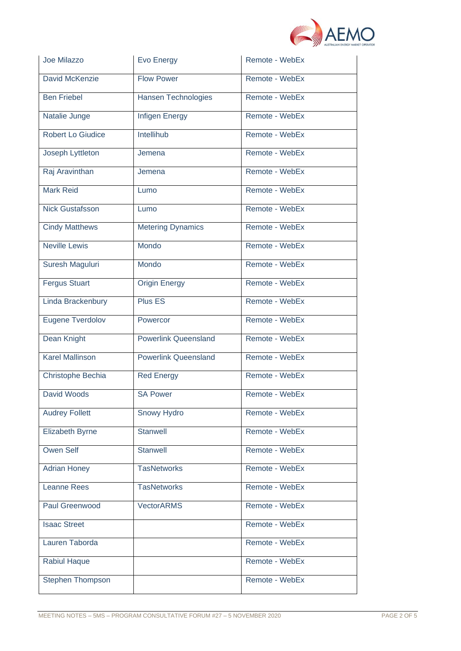

| Joe Milazzo              | <b>Evo Energy</b>           | Remote - WebEx |  |
|--------------------------|-----------------------------|----------------|--|
| David McKenzie           | <b>Flow Power</b>           | Remote - WebEx |  |
| <b>Ben Friebel</b>       | <b>Hansen Technologies</b>  | Remote - WebEx |  |
| Natalie Junge            | <b>Infigen Energy</b>       | Remote - WebEx |  |
| <b>Robert Lo Giudice</b> | Intellihub                  | Remote - WebEx |  |
| Joseph Lyttleton         | Jemena                      | Remote - WebEx |  |
| Raj Aravinthan           | Jemena                      | Remote - WebEx |  |
| <b>Mark Reid</b>         | Lumo                        | Remote - WebEx |  |
| <b>Nick Gustafsson</b>   | Lumo                        | Remote - WebEx |  |
| <b>Cindy Matthews</b>    | <b>Metering Dynamics</b>    | Remote - WebEx |  |
| <b>Neville Lewis</b>     | Mondo                       | Remote - WebEx |  |
| Suresh Maguluri          | Mondo                       | Remote - WebEx |  |
| <b>Fergus Stuart</b>     | <b>Origin Energy</b>        | Remote - WebEx |  |
| Linda Brackenbury        | Plus ES                     | Remote - WebEx |  |
| Eugene Tverdolov         | Powercor                    | Remote - WebEx |  |
| Dean Knight              | <b>Powerlink Queensland</b> | Remote - WebEx |  |
| <b>Karel Mallinson</b>   | <b>Powerlink Queensland</b> | Remote - WebEx |  |
| Christophe Bechia        | <b>Red Energy</b>           | Remote - WebEx |  |
| <b>David Woods</b>       | <b>SA Power</b>             | Remote - WebEx |  |
| <b>Audrey Follett</b>    | Snowy Hydro                 | Remote - WebEx |  |
| Elizabeth Byrne          | <b>Stanwell</b>             | Remote - WebEx |  |
| <b>Owen Self</b>         | <b>Stanwell</b>             | Remote - WebEx |  |
| <b>Adrian Honey</b>      | <b>TasNetworks</b>          | Remote - WebEx |  |
| <b>Leanne Rees</b>       | <b>TasNetworks</b>          | Remote - WebEx |  |
| <b>Paul Greenwood</b>    | <b>VectorARMS</b>           | Remote - WebEx |  |
| <b>Isaac Street</b>      |                             | Remote - WebEx |  |
| Lauren Taborda           |                             | Remote - WebEx |  |
| <b>Rabiul Haque</b>      |                             | Remote - WebEx |  |
| <b>Stephen Thompson</b>  |                             | Remote - WebEx |  |
|                          |                             |                |  |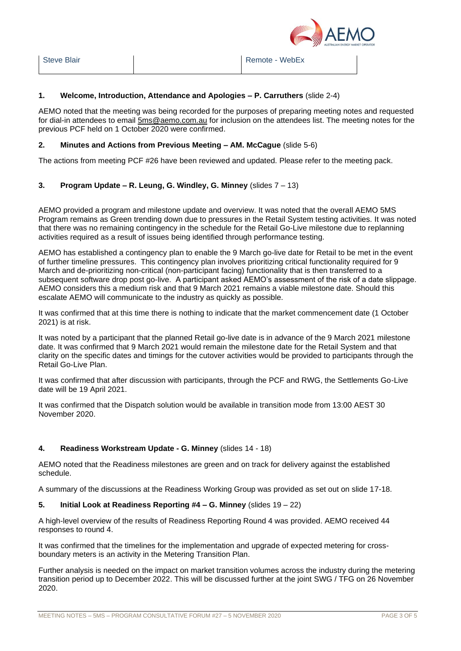

### **1. Welcome, Introduction, Attendance and Apologies – P. Carruthers** (slide 2-4)

AEMO noted that the meeting was being recorded for the purposes of preparing meeting notes and requested for dial-in attendees to email [5ms@aemo.com.au](mailto:5ms@aemo.com.au) for inclusion on the attendees list. The meeting notes for the previous PCF held on 1 October 2020 were confirmed.

#### **2. Minutes and Actions from Previous Meeting – AM. McCague** (slide 5-6)

The actions from meeting PCF #26 have been reviewed and updated. Please refer to the meeting pack.

## **3. Program Update – R. Leung, G. Windley, G. Minney** (slides 7 – 13)

AEMO provided a program and milestone update and overview. It was noted that the overall AEMO 5MS Program remains as Green trending down due to pressures in the Retail System testing activities. It was noted that there was no remaining contingency in the schedule for the Retail Go-Live milestone due to replanning activities required as a result of issues being identified through performance testing.

AEMO has established a contingency plan to enable the 9 March go-live date for Retail to be met in the event of further timeline pressures. This contingency plan involves prioritizing critical functionality required for 9 March and de-prioritizing non-critical (non-participant facing) functionality that is then transferred to a subsequent software drop post go-live. A participant asked AEMO's assessment of the risk of a date slippage. AEMO considers this a medium risk and that 9 March 2021 remains a viable milestone date. Should this escalate AEMO will communicate to the industry as quickly as possible.

It was confirmed that at this time there is nothing to indicate that the market commencement date (1 October 2021) is at risk.

It was noted by a participant that the planned Retail go-live date is in advance of the 9 March 2021 milestone date. It was confirmed that 9 March 2021 would remain the milestone date for the Retail System and that clarity on the specific dates and timings for the cutover activities would be provided to participants through the Retail Go-Live Plan.

It was confirmed that after discussion with participants, through the PCF and RWG, the Settlements Go-Live date will be 19 April 2021.

It was confirmed that the Dispatch solution would be available in transition mode from 13:00 AEST 30 November 2020.

## **4. Readiness Workstream Update - G. Minney** (slides 14 - 18)

AEMO noted that the Readiness milestones are green and on track for delivery against the established schedule.

A summary of the discussions at the Readiness Working Group was provided as set out on slide 17-18.

#### **5. Initial Look at Readiness Reporting #4 – G. Minney** (slides 19 – 22)

A high-level overview of the results of Readiness Reporting Round 4 was provided. AEMO received 44 responses to round 4.

It was confirmed that the timelines for the implementation and upgrade of expected metering for crossboundary meters is an activity in the Metering Transition Plan.

Further analysis is needed on the impact on market transition volumes across the industry during the metering transition period up to December 2022. This will be discussed further at the joint SWG / TFG on 26 November 2020.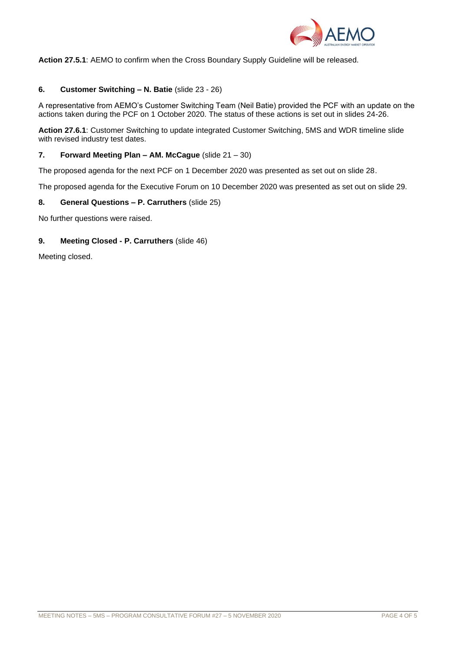

**Action 27.5.1**: AEMO to confirm when the Cross Boundary Supply Guideline will be released.

#### **6. Customer Switching – N. Batie** (slide 23 - 26)

A representative from AEMO's Customer Switching Team (Neil Batie) provided the PCF with an update on the actions taken during the PCF on 1 October 2020. The status of these actions is set out in slides 24-26.

**Action 27.6.1**: Customer Switching to update integrated Customer Switching, 5MS and WDR timeline slide with revised industry test dates.

#### **7. Forward Meeting Plan – AM. McCague** (slide 21 – 30)

The proposed agenda for the next PCF on 1 December 2020 was presented as set out on slide 28.

The proposed agenda for the Executive Forum on 10 December 2020 was presented as set out on slide 29.

#### **8. General Questions – P. Carruthers** (slide 25)

No further questions were raised.

#### **9. Meeting Closed - P. Carruthers** (slide 46)

Meeting closed.